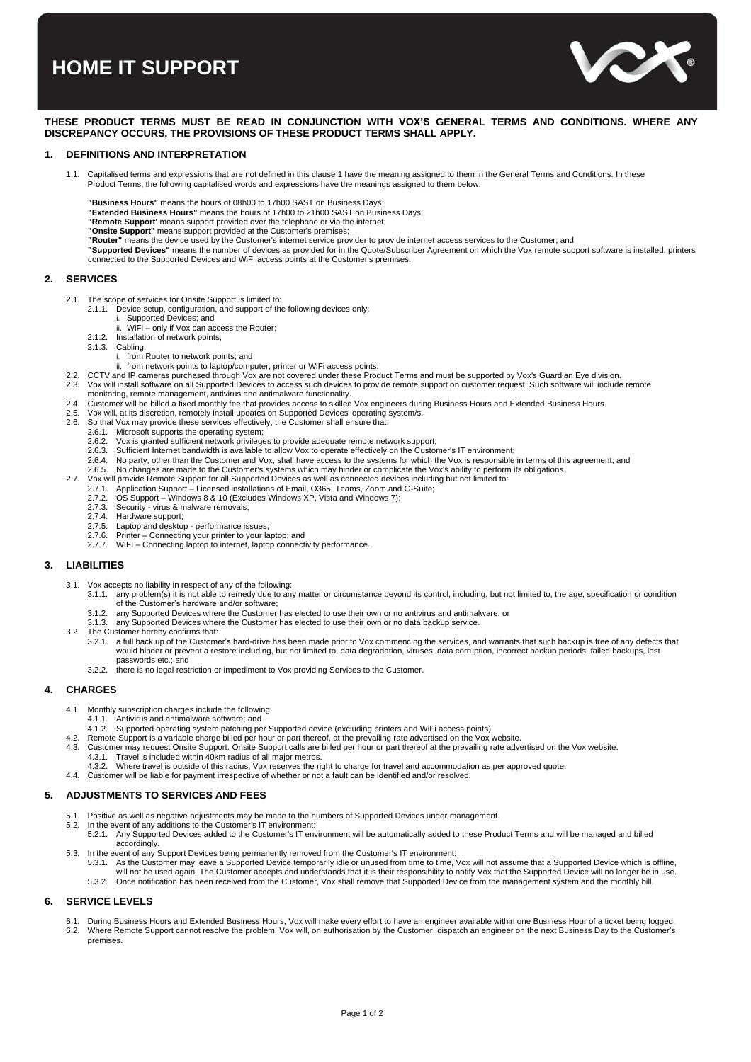# **HOME IT SUPPORT**



## **THESE PRODUCT TERMS MUST BE READ IN CONJUNCTION WITH VOX'S GENERAL TERMS AND CONDITIONS. WHERE ANY DISCREPANCY OCCURS, THE PROVISIONS OF THESE PRODUCT TERMS SHALL APPLY.**

## **1. DEFINITIONS AND INTERPRETATION**

- 1.1. Capitalised terms and expressions that are not defined in this clause 1 have the meaning assigned to them in the General Terms and Conditions. In these Product Terms, the following capitalised words and expressions have the meanings assigned to them below:
	-
	- **"Business Hours"** means the hours of 08h00 to 17h00 SAST on Business Days;
	- **"Extended Business Hours"** means the hours of 17h00 to 21h00 SAST on Business Days;
	- **"Remote Support'** means support provided over the telephone or via the internet;
	-
	- **"Onsite Support"** means support provided at the Customer's premises; **"Router"** means the device used by the Customer's internet service provider to provide internet access services to the Customer; and
	- **"Supported Devices"** means the number of devices as provided for in the Quote/Subscriber Agreement on which the Vox remote support software is installed, printers connected to the Supported Devices and WiFi access points at the Customer's premises.

## **2. SERVICES**

- 2.1. The scope of services for Onsite Support is limited to:
	- 2.1.1. Device setup, configuration, and support of the following devices only: i. Supported Devices; and
	-
	- ii. WiFi only if Vox can access the Router;
	- 2.1.2. Installation of network points;<br>2.1.3. Cabling: Cabling;
		- i. from Router to network points; and
		- ii. from network points to laptop/computer, printer or WiFi access points.
	-
- 2.2. CCTV and IP cameras purchased through Vox are not covered under these Product Terms and must be supported by Vox's Guardian Eye division.<br>2.3. Vox will install software on all Supported Devices to access such devices 2.3. Vox will install software on all Supported Devices to access such devices to provide remote support on customer request. Such software will include remote monitoring, remote management, antivirus and antimalware functionality.
- 2.4. Customer will be billed a fixed monthly fee that provides access to skilled Vox engineers during Business Hours and Extended Business Hours.<br>2.5. Vox will at its discretion, remotely install undates on Supported Devic
- 
- 2.5. Vox will, at its discretion, remotely install updates on Supported Devices' operating system/s.<br>2.6. So that Vox may provide these services effectively: the Customer shall ensure that: So that Vox may provide these services effectively; the Customer shall ensure that:<br>2.6.1. Microsoft supports the operating system:
- - 2.6.1. Microsoft supports the operating system;<br>2.6.2. Vox is granted sufficient network privilege
	- 2.6.2. Vox is granted sufficient network privileges to provide adequate remote network support;<br>2.6.3. Sufficient Internet bandwidth is available to allow Vox to operate effectively on the Custor 2.6.3. Sufficient Internet bandwidth is available to allow Vox to operate effectively on the Customer's IT environment;
	- 2.6.4. No party, other than the Customer and Vox, shall have access to the systems for which the Vox is responsible in terms of this agreement; and
	- 2.6.5. No changes are made to the Customer's systems which may hinder or complicate the Vox's ability to perform its obligations.
- 2.7. Vox will provide Remote Support for all Supported Devices as well as connected devices including but not limited to: 2.7.1. Application Support Licensed installations of Email, O365, Teams, Zoom and G-Suite;
	-
	- 2.7.2. OS Support Windows 8 & 10 (Excludes Windows XP, Vista and Windows 7);
	- 2.7.3. Security virus & malware removals;
	- 2.7.4. Hardware support;
	- 2.7.5. Laptop and desktop performance issues;
	- 2.7.6. Printer Connecting your printer to your laptop; and 2.7.7. WIFI Connecting laptop to internet, laptop connectivity performance.

## **3. LIABILITIES**

- 
- 3.1. Vox accepts no liability in respect of any of the following:<br>3.1.1. any problem(s) it is not able to remedy due to any matter or circumstance beyond its control, including, but not limited to, the age, specification o
	- of the Customer's hardware and/or software; 3.1.2. any Supported Devices where the Customer has elected to use their own or no antivirus and antimalware; or
	- 3.1.3. any Supported Devices where the Customer has elected to use their own or no data backup service.
- 3.2. The Customer hereby confirms that:
	- 3.2.1. a full back up of the Customer's hard-drive has been made prior to Vox commencing the services, and warrants that such backup is free of any defects that would hinder or prevent a restore including, but not limited to, data degradation, viruses, data corruption, incorrect backup periods, failed backups, lost
	- passwords etc.; and 3.2.2. there is no legal restriction or impediment to Vox providing Services to the Customer.

## **4. CHARGES**

- 4.1. Monthly subscription charges include the following: 4.1.1. Antivirus and antimalware software; and
	-
- 4.1.2. Supported operating system patching per Supported device (excluding printers and WiFi access points).
- 4.2. Remote Support is a variable charge billed per hour or part thereof, at the prevailing rate advertised on the Vox website.<br>4.3. Customer may request Onsite Support. Onsite Support calls are billed per hour or part the
	- 4.3.1. Travel is included within 40km radius of all major metros. 4.3.2. Where travel is outside of this radius, Vox reserves the right to charge for travel and accommodation as per approved quote.
- 4.4. Customer will be liable for payment irrespective of whether or not a fault can be identified and/or resolved.

## **5. ADJUSTMENTS TO SERVICES AND FEES**

- 5.1. Positive as well as negative adjustments may be made to the numbers of Supported Devices under management.
- 5.2. In the event of any additions to the Customer's IT environment:
	- 5.2.1. Any Supported Devices added to the Customer's IT environment will be automatically added to these Product Terms and will be managed and billed accordingly.
- 5.3. In the event of any Support Devices being permanently removed from the Customer's IT environment:
	- .5.3.1. As the Customer may leave a Supported Device temporarily idle or unused from time to time, Vox will not assume that a Supported Device which is offline,<br>.will not be used again. The Customer accepts and understands 5.3.2. Once notification has been received from the Customer, Vox shall remove that Supported Device from the management system and the monthly bill.

## **6. SERVICE LEVELS**

6.1. During Business Hours and Extended Business Hours, Vox will make every effort to have an engineer available within one Business Hour of a ticket being logged.<br>6.2. Where Remote Support cannot resolve the problem, Vox premises.